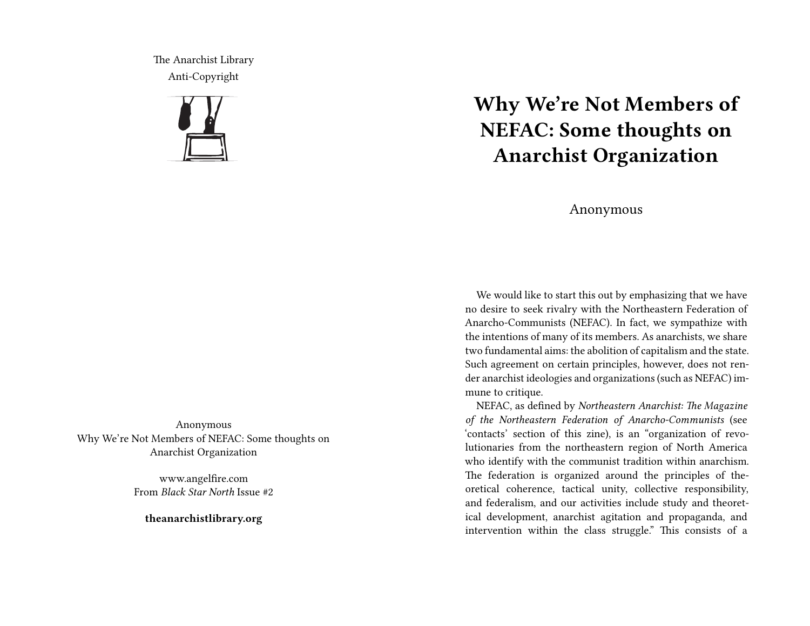The Anarchist Library Anti-Copyright



Anonymous Why We're Not Members of NEFAC: Some thoughts on Anarchist Organization

> www.angelfire.com From *Black Star North* Issue #2

**theanarchistlibrary.org**

## **Why We're Not Members of NEFAC: Some thoughts on Anarchist Organization**

## Anonymous

We would like to start this out by emphasizing that we have no desire to seek rivalry with the Northeastern Federation of Anarcho-Communists (NEFAC). In fact, we sympathize with the intentions of many of its members. As anarchists, we share two fundamental aims: the abolition of capitalism and the state. Such agreement on certain principles, however, does not render anarchist ideologies and organizations (such as NEFAC) immune to critique.

NEFAC, as defined by *Northeastern Anarchist: The Magazine of the Northeastern Federation of Anarcho-Communists* (see 'contacts' section of this zine), is an "organization of revolutionaries from the northeastern region of North America who identify with the communist tradition within anarchism. The federation is organized around the principles of theoretical coherence, tactical unity, collective responsibility, and federalism, and our activities include study and theoretical development, anarchist agitation and propaganda, and intervention within the class struggle." This consists of a